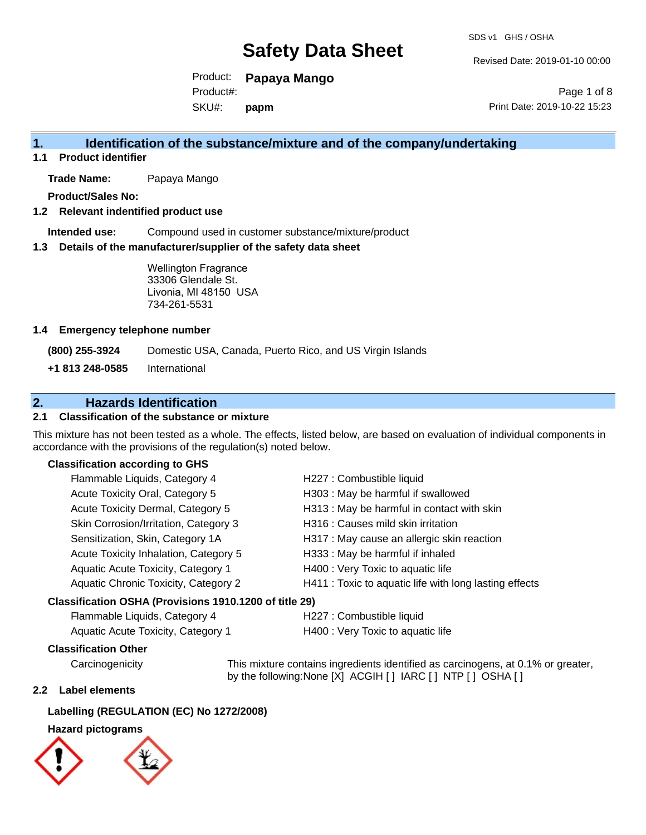Revised Date: 2019-01-10 00:00

Product: **Papaya Mango** Product#:

SKU#: **papm**

Page 1 of 8 Print Date: 2019-10-22 15:23

### **1. Identification of the substance/mixture and of the company/undertaking**

**1.1 Product identifier**

**Trade Name:** Papaya Mango

**Product/Sales No:**

#### **1.2 Relevant indentified product use**

**Intended use:** Compound used in customer substance/mixture/product

#### **1.3 Details of the manufacturer/supplier of the safety data sheet**

Wellington Fragrance 33306 Glendale St. Livonia, MI 48150 USA 734-261-5531

#### **1.4 Emergency telephone number**

**(800) 255-3924** Domestic USA, Canada, Puerto Rico, and US Virgin Islands

**+1 813 248-0585** International

### **2. Hazards Identification**

### **2.1 Classification of the substance or mixture**

This mixture has not been tested as a whole. The effects, listed below, are based on evaluation of individual components in accordance with the provisions of the regulation(s) noted below.

#### **Classification according to GHS**

| Flammable Liquids, Category 4                          | H227 : Combustible liquid                              |
|--------------------------------------------------------|--------------------------------------------------------|
| Acute Toxicity Oral, Category 5                        | H303 : May be harmful if swallowed                     |
| Acute Toxicity Dermal, Category 5                      | H313 : May be harmful in contact with skin             |
| Skin Corrosion/Irritation, Category 3                  | H316 : Causes mild skin irritation                     |
| Sensitization, Skin, Category 1A                       | H317 : May cause an allergic skin reaction             |
| Acute Toxicity Inhalation, Category 5                  | H333: May be harmful if inhaled                        |
| Aquatic Acute Toxicity, Category 1                     | H400 : Very Toxic to aquatic life                      |
| Aquatic Chronic Toxicity, Category 2                   | H411 : Toxic to aquatic life with long lasting effects |
| Classification OSHA (Provisions 1910.1200 of title 29) |                                                        |
|                                                        |                                                        |

| Flammable Liquids, Category 4 | H22 |
|-------------------------------|-----|
|                               |     |

7 : Combustible liquid

Aquatic Acute Toxicity, Category 1 **H400** : Very Toxic to aquatic life

#### **Classification Other**

Carcinogenicity This mixture contains ingredients identified as carcinogens, at 0.1% or greater, by the following:None [X] ACGIH [ ] IARC [ ] NTP [ ] OSHA [ ]

#### **2.2 Label elements**

#### **Labelling (REGULATION (EC) No 1272/2008)**

### **Hazard pictograms**

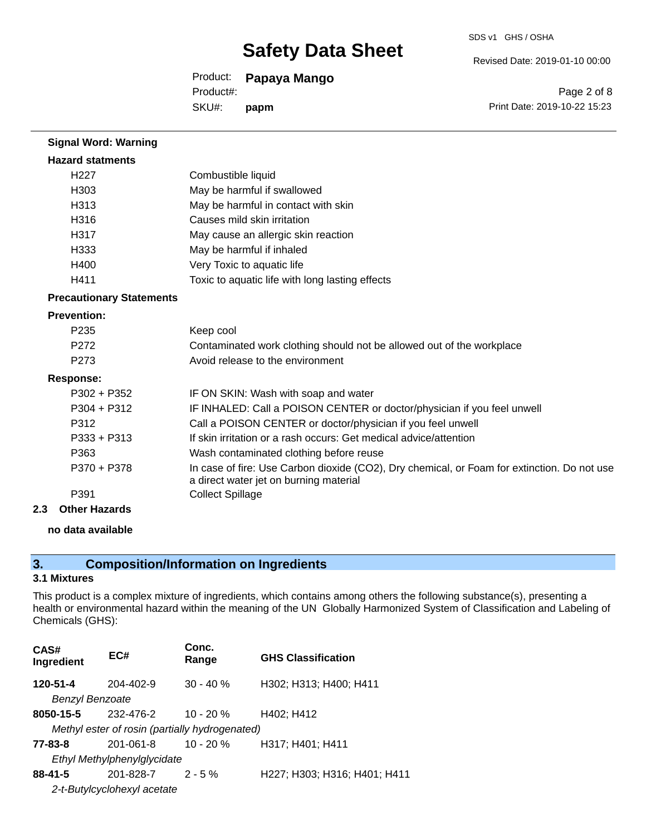#### SDS v1 GHS / OSHA

Revised Date: 2019-01-10 00:00

Product: **Papaya Mango**

Product#:

SKU#: **papm**

Page 2 of 8 Print Date: 2019-10-22 15:23

| <b>Signal Word: Warning</b>     |                                                                                                                                       |
|---------------------------------|---------------------------------------------------------------------------------------------------------------------------------------|
| <b>Hazard statments</b>         |                                                                                                                                       |
| H <sub>227</sub>                | Combustible liquid                                                                                                                    |
| H <sub>303</sub>                | May be harmful if swallowed                                                                                                           |
| H313                            | May be harmful in contact with skin                                                                                                   |
| H316                            | Causes mild skin irritation                                                                                                           |
| H317                            | May cause an allergic skin reaction                                                                                                   |
| H333                            | May be harmful if inhaled                                                                                                             |
| H400                            | Very Toxic to aquatic life                                                                                                            |
| H411                            | Toxic to aquatic life with long lasting effects                                                                                       |
| <b>Precautionary Statements</b> |                                                                                                                                       |
| <b>Prevention:</b>              |                                                                                                                                       |
| P <sub>235</sub>                | Keep cool                                                                                                                             |
| P272                            | Contaminated work clothing should not be allowed out of the workplace                                                                 |
| P273                            | Avoid release to the environment                                                                                                      |
| <b>Response:</b>                |                                                                                                                                       |
| $P302 + P352$                   | IF ON SKIN: Wash with soap and water                                                                                                  |
| $P304 + P312$                   | IF INHALED: Call a POISON CENTER or doctor/physician if you feel unwell                                                               |
| P312                            | Call a POISON CENTER or doctor/physician if you feel unwell                                                                           |
| $P333 + P313$                   | If skin irritation or a rash occurs: Get medical advice/attention                                                                     |
| P363                            | Wash contaminated clothing before reuse                                                                                               |
| P370 + P378                     | In case of fire: Use Carbon dioxide (CO2), Dry chemical, or Foam for extinction. Do not use<br>a direct water jet on burning material |
| P391                            | <b>Collect Spillage</b>                                                                                                               |
| 2.3<br><b>Other Hazards</b>     |                                                                                                                                       |

**no data available**

## **3. Composition/Information on Ingredients**

#### **3.1 Mixtures**

This product is a complex mixture of ingredients, which contains among others the following substance(s), presenting a health or environmental hazard within the meaning of the UN Globally Harmonized System of Classification and Labeling of Chemicals (GHS):

| CAS#<br>Ingredient                             | EC#                         | Conc.<br>Range | <b>GHS Classification</b>    |
|------------------------------------------------|-----------------------------|----------------|------------------------------|
| 120-51-4                                       | 204-402-9                   | $30 - 40 \%$   | H302; H313; H400; H411       |
| <b>Benzyl Benzoate</b>                         |                             |                |                              |
| 8050-15-5                                      | 232-476-2                   | $10 - 20 \%$   | H402; H412                   |
| Methyl ester of rosin (partially hydrogenated) |                             |                |                              |
| 77-83-8                                        | 201-061-8                   | $10 - 20 %$    | H317; H401; H411             |
|                                                | Ethyl Methylphenylglycidate |                |                              |
| $88 - 41 - 5$                                  | 201-828-7                   | $2 - 5\%$      | H227; H303; H316; H401; H411 |
|                                                | 2-t-Butylcyclohexyl acetate |                |                              |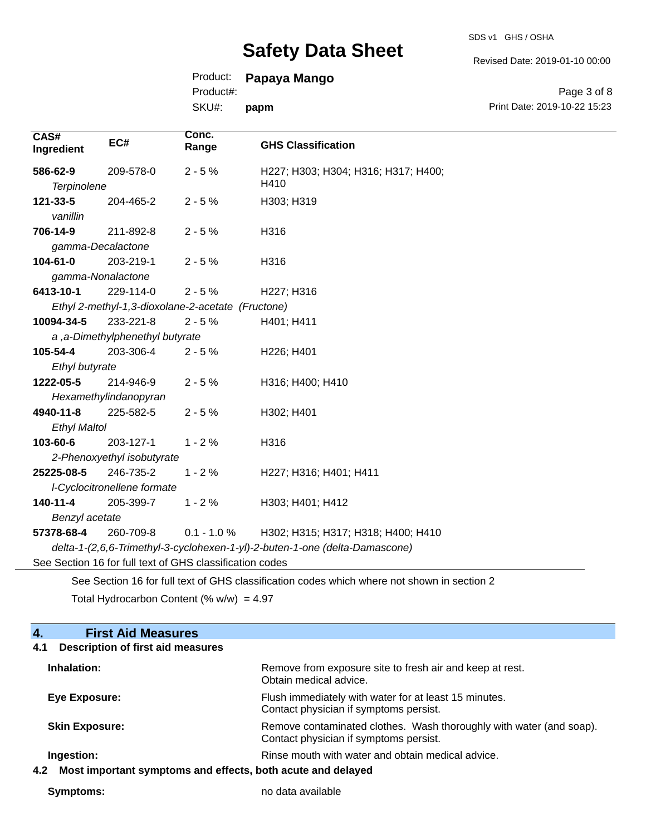SDS v1 GHS / OSHA

Revised Date: 2019-01-10 00:00

## Product: **Papaya Mango**

Product#:

SKU#: **papm**

Page 3 of 8 Print Date: 2019-10-22 15:23

| CAS#<br>Ingredient                                                          | EC#                                               | Conc.<br>Range | <b>GHS Classification</b>                                                                   |
|-----------------------------------------------------------------------------|---------------------------------------------------|----------------|---------------------------------------------------------------------------------------------|
| 586-62-9                                                                    | 209-578-0                                         | $2 - 5%$       | H227; H303; H304; H316; H317; H400;<br>H410                                                 |
| <b>Terpinolene</b>                                                          |                                                   |                |                                                                                             |
| 121-33-5                                                                    | 204-465-2                                         | $2 - 5%$       | H303; H319                                                                                  |
| vanillin                                                                    |                                                   |                |                                                                                             |
| 706-14-9                                                                    | 211-892-8                                         | $2 - 5%$       | H316                                                                                        |
| gamma-Decalactone                                                           |                                                   |                |                                                                                             |
| 104-61-0                                                                    | 203-219-1                                         | $2 - 5%$       | H316                                                                                        |
| gamma-Nonalactone                                                           |                                                   |                |                                                                                             |
| 6413-10-1                                                                   | 229-114-0                                         | $2 - 5%$       | H227; H316                                                                                  |
|                                                                             | Ethyl 2-methyl-1,3-dioxolane-2-acetate (Fructone) |                |                                                                                             |
| 10094-34-5                                                                  | 233-221-8                                         | $2 - 5%$       | H401; H411                                                                                  |
|                                                                             | a, a-Dimethylphenethyl butyrate                   |                |                                                                                             |
| 105-54-4                                                                    | 203-306-4                                         | $2 - 5%$       | H226; H401                                                                                  |
| Ethyl butyrate                                                              |                                                   |                |                                                                                             |
| 1222-05-5                                                                   | 214-946-9                                         | $2 - 5%$       | H316; H400; H410                                                                            |
|                                                                             | Hexamethylindanopyran                             |                |                                                                                             |
| 4940-11-8                                                                   | 225-582-5                                         | $2 - 5%$       | H302; H401                                                                                  |
| <b>Ethyl Maltol</b>                                                         |                                                   |                |                                                                                             |
| 103-60-6                                                                    | 203-127-1                                         | $1 - 2%$       | H316                                                                                        |
| 2-Phenoxyethyl isobutyrate                                                  |                                                   |                |                                                                                             |
| 25225-08-5                                                                  | 246-735-2                                         | $1 - 2%$       | H227; H316; H401; H411                                                                      |
| I-Cyclocitronellene formate                                                 |                                                   |                |                                                                                             |
| $140 - 11 - 4$                                                              | 205-399-7                                         | $1 - 2%$       | H303; H401; H412                                                                            |
| Benzyl acetate                                                              |                                                   |                |                                                                                             |
| 57378-68-4                                                                  | 260-709-8                                         | $0.1 - 1.0 %$  | H302; H315; H317; H318; H400; H410                                                          |
| delta-1-(2,6,6-Trimethyl-3-cyclohexen-1-yl)-2-buten-1-one (delta-Damascone) |                                                   |                |                                                                                             |
| See Section 16 for full text of GHS classification codes                    |                                                   |                |                                                                                             |
|                                                                             |                                                   |                | See Section 16 for full text of GHS classification codes which where not shown in section 2 |

Total Hydrocarbon Content (%  $w/w$ ) = 4.97

| 4.<br><b>First Aid Measures</b>                                    |                                                                                                               |  |
|--------------------------------------------------------------------|---------------------------------------------------------------------------------------------------------------|--|
| <b>Description of first aid measures</b><br>4.1                    |                                                                                                               |  |
| Inhalation:                                                        | Remove from exposure site to fresh air and keep at rest.<br>Obtain medical advice.                            |  |
| Eye Exposure:                                                      | Flush immediately with water for at least 15 minutes.<br>Contact physician if symptoms persist.               |  |
| <b>Skin Exposure:</b>                                              | Remove contaminated clothes. Wash thoroughly with water (and soap).<br>Contact physician if symptoms persist. |  |
| Ingestion:                                                         | Rinse mouth with water and obtain medical advice.                                                             |  |
| Most important symptoms and effects, both acute and delayed<br>4.2 |                                                                                                               |  |

**Symptoms:** no data available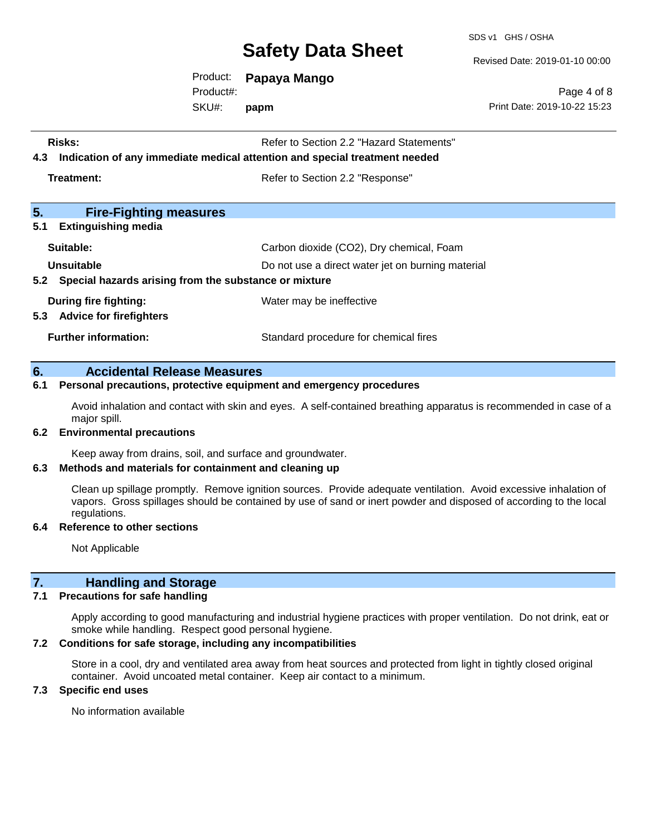SDS v1 GHS / OSHA

Revised Date: 2019-01-10 00:00

Product: **Papaya Mango**

SKU#: Product#: **papm**

Page 4 of 8 Print Date: 2019-10-22 15:23

| Risks:<br>Refer to Section 2.2 "Hazard Statements"<br>Indication of any immediate medical attention and special treatment needed<br>4.3 |                                          |  |
|-----------------------------------------------------------------------------------------------------------------------------------------|------------------------------------------|--|
| Treatment:                                                                                                                              | Refer to Section 2.2 "Response"          |  |
| 5.<br><b>Fire-Fighting measures</b><br>5.1<br><b>Extinguishing media</b>                                                                |                                          |  |
| Suitable:                                                                                                                               | Carbon dioxide (CO2), Dry chemical, Foam |  |
| Unsuitable<br>Do not use a direct water jet on burning material<br>5.2 Special hazards arising from the substance or mixture            |                                          |  |
| During fire fighting:<br>5.3 Advice for firefighters                                                                                    | Water may be ineffective                 |  |
| <b>Further information:</b>                                                                                                             | Standard procedure for chemical fires    |  |

#### **6. Accidental Release Measures**

#### **6.1 Personal precautions, protective equipment and emergency procedures**

Avoid inhalation and contact with skin and eyes. A self-contained breathing apparatus is recommended in case of a major spill.

#### **6.2 Environmental precautions**

Keep away from drains, soil, and surface and groundwater.

#### **6.3 Methods and materials for containment and cleaning up**

Clean up spillage promptly. Remove ignition sources. Provide adequate ventilation. Avoid excessive inhalation of vapors. Gross spillages should be contained by use of sand or inert powder and disposed of according to the local regulations.

#### **6.4 Reference to other sections**

Not Applicable

### **7. Handling and Storage**

#### **7.1 Precautions for safe handling**

Apply according to good manufacturing and industrial hygiene practices with proper ventilation. Do not drink, eat or smoke while handling. Respect good personal hygiene.

#### **7.2 Conditions for safe storage, including any incompatibilities**

Store in a cool, dry and ventilated area away from heat sources and protected from light in tightly closed original container. Avoid uncoated metal container. Keep air contact to a minimum.

#### **7.3 Specific end uses**

No information available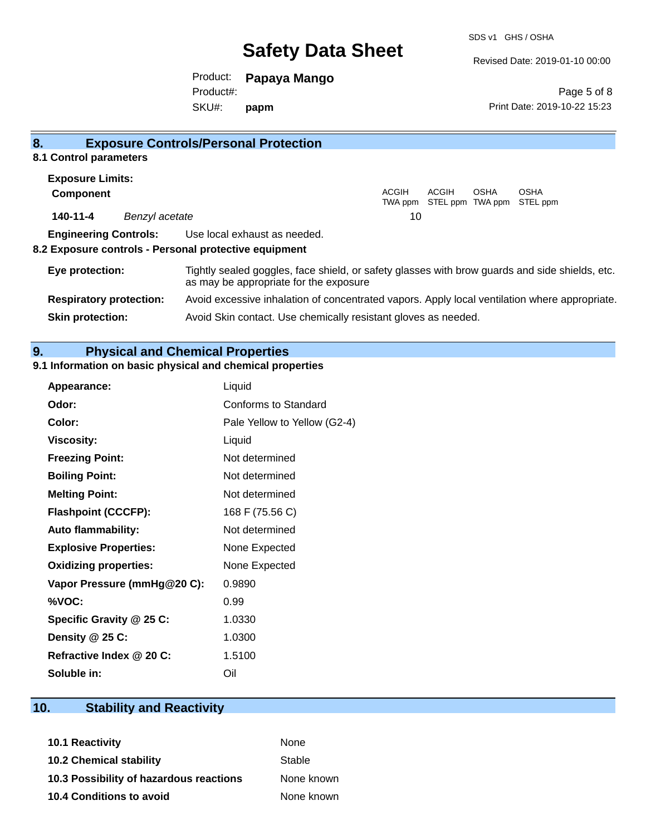Revised Date: 2019-01-10 00:00

Product: **Papaya Mango** SKU#: Product#: **papm**

Page 5 of 8 Print Date: 2019-10-22 15:23

| 8.                             | <b>Exposure Controls/Personal Protection</b>                                                                                             |
|--------------------------------|------------------------------------------------------------------------------------------------------------------------------------------|
| 8.1 Control parameters         |                                                                                                                                          |
| <b>Exposure Limits:</b>        |                                                                                                                                          |
| <b>Component</b>               | ACGIH<br>ACGIH<br><b>OSHA</b><br><b>OSHA</b><br>STEL ppm TWA ppm STEL ppm<br>TWA ppm                                                     |
| 140-11-4                       | 10<br>Benzyl acetate                                                                                                                     |
| <b>Engineering Controls:</b>   | Use local exhaust as needed.                                                                                                             |
|                                | 8.2 Exposure controls - Personal protective equipment                                                                                    |
| Eye protection:                | Tightly sealed goggles, face shield, or safety glasses with brow guards and side shields, etc.<br>as may be appropriate for the exposure |
| <b>Respiratory protection:</b> | Avoid excessive inhalation of concentrated vapors. Apply local ventilation where appropriate.                                            |
| <b>Skin protection:</b>        | Avoid Skin contact. Use chemically resistant gloves as needed.                                                                           |

### **9. Physical and Chemical Properties**

## **9.1 Information on basic physical and chemical properties**

| Appearance:                  | Liquid                       |
|------------------------------|------------------------------|
| Odor:                        | Conforms to Standard         |
| Color:                       | Pale Yellow to Yellow (G2-4) |
| <b>Viscosity:</b>            | Liquid                       |
| <b>Freezing Point:</b>       | Not determined               |
| <b>Boiling Point:</b>        | Not determined               |
| <b>Melting Point:</b>        | Not determined               |
| <b>Flashpoint (CCCFP):</b>   | 168 F (75.56 C)              |
| <b>Auto flammability:</b>    | Not determined               |
| <b>Explosive Properties:</b> | None Expected                |
| <b>Oxidizing properties:</b> | None Expected                |
| Vapor Pressure (mmHg@20 C):  | 0.9890                       |
| %VOC:                        | 0.99                         |
| Specific Gravity @ 25 C:     | 1.0330                       |
| Density @ 25 C:              | 1.0300                       |
| Refractive Index @ 20 C:     | 1.5100                       |
| Soluble in:                  | Oil                          |

## **10. Stability and Reactivity**

| 10.1 Reactivity                         | <b>None</b> |
|-----------------------------------------|-------------|
| <b>10.2 Chemical stability</b>          | Stable      |
| 10.3 Possibility of hazardous reactions | None known  |
| <b>10.4 Conditions to avoid</b>         | None known  |
|                                         |             |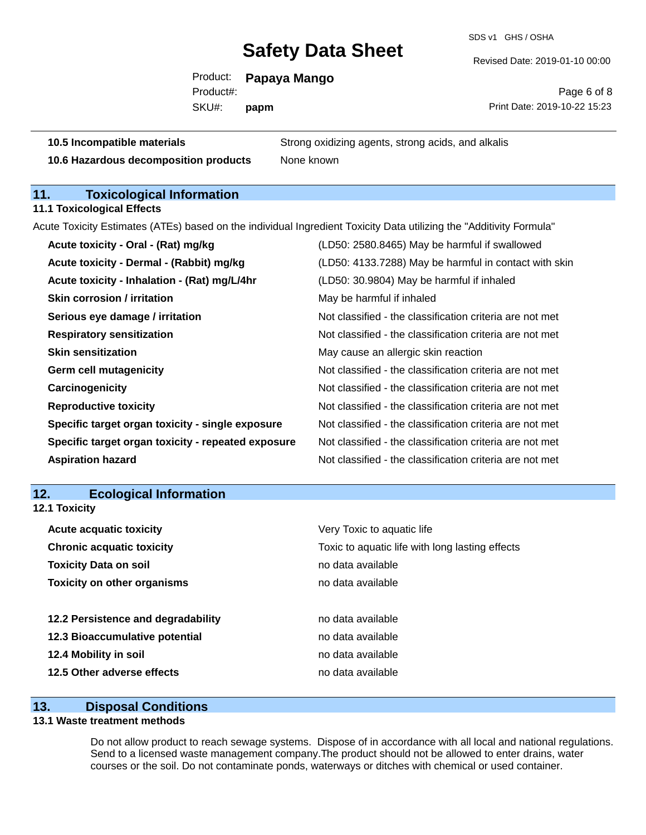SDS v1 GHS / OSHA

Revised Date: 2019-01-10 00:00

Product: **Papaya Mango** SKU#: Product#: **papm**

Page 6 of 8 Print Date: 2019-10-22 15:23

**10.5 Incompatible materials** Strong oxidizing agents, strong acids, and alkalis

**10.6 Hazardous decomposition products** None known

## **11. Toxicological Information**

**11.1 Toxicological Effects**

Acute Toxicity Estimates (ATEs) based on the individual Ingredient Toxicity Data utilizing the "Additivity Formula"

| Acute toxicity - Oral - (Rat) mg/kg                | (LD50: 2580.8465) May be harmful if swallowed            |
|----------------------------------------------------|----------------------------------------------------------|
| Acute toxicity - Dermal - (Rabbit) mg/kg           | (LD50: 4133.7288) May be harmful in contact with skin    |
| Acute toxicity - Inhalation - (Rat) mg/L/4hr       | (LD50: 30.9804) May be harmful if inhaled                |
| <b>Skin corrosion / irritation</b>                 | May be harmful if inhaled                                |
| Serious eye damage / irritation                    | Not classified - the classification criteria are not met |
| <b>Respiratory sensitization</b>                   | Not classified - the classification criteria are not met |
| <b>Skin sensitization</b>                          | May cause an allergic skin reaction                      |
| <b>Germ cell mutagenicity</b>                      | Not classified - the classification criteria are not met |
| Carcinogenicity                                    | Not classified - the classification criteria are not met |
| <b>Reproductive toxicity</b>                       | Not classified - the classification criteria are not met |
| Specific target organ toxicity - single exposure   | Not classified - the classification criteria are not met |
| Specific target organ toxicity - repeated exposure | Not classified - the classification criteria are not met |
| <b>Aspiration hazard</b>                           | Not classified - the classification criteria are not met |

#### **12. Ecological Information 12.1 Toxicity**

| <b>Acute acquatic toxicity</b>     | Very Toxic to aquatic life                      |
|------------------------------------|-------------------------------------------------|
| <b>Chronic acquatic toxicity</b>   | Toxic to aquatic life with long lasting effects |
| <b>Toxicity Data on soil</b>       | no data available                               |
| <b>Toxicity on other organisms</b> | no data available                               |
|                                    |                                                 |
| 12.2 Persistence and degradability | no data available                               |
| 12.3 Bioaccumulative potential     | no data available                               |
| 12.4 Mobility in soil              | no data available                               |
| 12.5 Other adverse effects         | no data available                               |
|                                    |                                                 |

### **13. Disposal Conditions**

### **13.1 Waste treatment methods**

Do not allow product to reach sewage systems. Dispose of in accordance with all local and national regulations. Send to a licensed waste management company.The product should not be allowed to enter drains, water courses or the soil. Do not contaminate ponds, waterways or ditches with chemical or used container.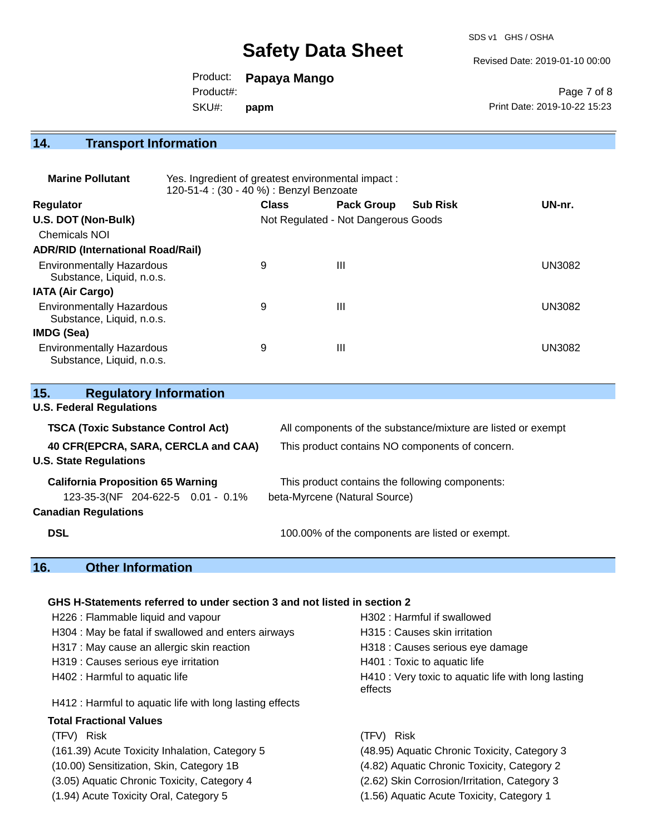SDS v1 GHS / OSHA

Revised Date: 2019-01-10 00:00

Product: **Papaya Mango**

Product#:

SKU#: **papm**

Page 7 of 8 Print Date: 2019-10-22 15:23

## **14. Transport Information**

| <b>Marine Pollutant</b>                                       | Yes. Ingredient of greatest environmental impact:<br>120-51-4 : (30 - 40 %) : Benzyl Benzoate |              |                                     |                 |               |
|---------------------------------------------------------------|-----------------------------------------------------------------------------------------------|--------------|-------------------------------------|-----------------|---------------|
| <b>Regulator</b>                                              |                                                                                               | <b>Class</b> | <b>Pack Group</b>                   | <b>Sub Risk</b> | UN-nr.        |
| U.S. DOT (Non-Bulk)                                           |                                                                                               |              | Not Regulated - Not Dangerous Goods |                 |               |
| <b>Chemicals NOI</b>                                          |                                                                                               |              |                                     |                 |               |
| <b>ADR/RID (International Road/Rail)</b>                      |                                                                                               |              |                                     |                 |               |
| <b>Environmentally Hazardous</b><br>Substance, Liquid, n.o.s. |                                                                                               | 9            | $\mathbf{III}$                      |                 | <b>UN3082</b> |
| <b>IATA (Air Cargo)</b>                                       |                                                                                               |              |                                     |                 |               |
| <b>Environmentally Hazardous</b><br>Substance, Liquid, n.o.s. |                                                                                               | 9            | Ш                                   |                 | <b>UN3082</b> |
| IMDG (Sea)                                                    |                                                                                               |              |                                     |                 |               |
| <b>Environmentally Hazardous</b><br>Substance, Liquid, n.o.s. |                                                                                               | 9            | Ш                                   |                 | <b>UN3082</b> |

| 15.<br><b>Regulatory Information</b>      |                                                              |  |  |
|-------------------------------------------|--------------------------------------------------------------|--|--|
| <b>U.S. Federal Regulations</b>           |                                                              |  |  |
| <b>TSCA (Toxic Substance Control Act)</b> | All components of the substance/mixture are listed or exempt |  |  |
| 40 CFR(EPCRA, SARA, CERCLA and CAA)       | This product contains NO components of concern.              |  |  |
| <b>U.S. State Regulations</b>             |                                                              |  |  |
| <b>California Proposition 65 Warning</b>  | This product contains the following components:              |  |  |
| 123-35-3(NF 204-622-5 0.01 - 0.1%         | beta-Myrcene (Natural Source)                                |  |  |
| <b>Canadian Regulations</b>               |                                                              |  |  |
| <b>DSL</b>                                | 100.00% of the components are listed or exempt.              |  |  |

## **16. Other Information**

#### **GHS H-Statements referred to under section 3 and not listed in section 2**

| H226 : Flammable liquid and vapour                       | H302: Harmful if swallowed                                     |  |  |
|----------------------------------------------------------|----------------------------------------------------------------|--|--|
| H304 : May be fatal if swallowed and enters airways      | H315 : Causes skin irritation                                  |  |  |
| H317 : May cause an allergic skin reaction               | H318 : Causes serious eye damage                               |  |  |
| H319 : Causes serious eye irritation                     | H401 : Toxic to aquatic life                                   |  |  |
| H402 : Harmful to aquatic life                           | H410 : Very toxic to aquatic life with long lasting<br>effects |  |  |
| H412 : Harmful to aquatic life with long lasting effects |                                                                |  |  |
| <b>Total Fractional Values</b>                           |                                                                |  |  |
| (TFV) Risk                                               | (TFV) Risk                                                     |  |  |
| (161.39) Acute Toxicity Inhalation, Category 5           | (48.95) Aquatic Chronic Toxicity, Category 3                   |  |  |
| (10.00) Sensitization, Skin, Category 1B                 | (4.82) Aquatic Chronic Toxicity, Category 2                    |  |  |
| (3.05) Aquatic Chronic Toxicity, Category 4              | (2.62) Skin Corrosion/Irritation, Category 3                   |  |  |
| (1.94) Acute Toxicity Oral, Category 5                   | (1.56) Aquatic Acute Toxicity, Category 1                      |  |  |